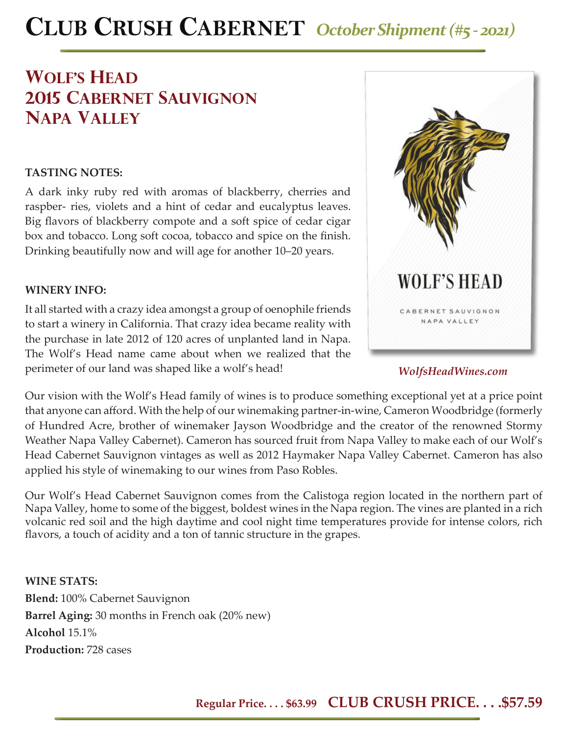# **CLUB CRUSH CABERNET** *October Shipment (#5 - 2021)*

## **WOLF'S HEAD 2015 cabernet sauvignon napa valley**

### **TASTING NOTES:**

A dark inky ruby red with aromas of blackberry, cherries and raspber- ries, violets and a hint of cedar and eucalyptus leaves. Big flavors of blackberry compote and a soft spice of cedar cigar box and tobacco. Long soft cocoa, tobacco and spice on the finish. Drinking beautifully now and will age for another 10–20 years.

### **WINERY INFO:**

It all started with a crazy idea amongst a group of oenophile friends to start a winery in California. That crazy idea became reality with the purchase in late 2012 of 120 acres of unplanted land in Napa. The Wolf's Head name came about when we realized that the perimeter of our land was shaped like a wolf's head!



### *WolfsHeadWines.com*

Our vision with the Wolf's Head family of wines is to produce something exceptional yet at a price point that anyone can afford. With the help of our winemaking partner-in-wine, Cameron Woodbridge (formerly of Hundred Acre, brother of winemaker Jayson Woodbridge and the creator of the renowned Stormy Weather Napa Valley Cabernet). Cameron has sourced fruit from Napa Valley to make each of our Wolf's Head Cabernet Sauvignon vintages as well as 2012 Haymaker Napa Valley Cabernet. Cameron has also applied his style of winemaking to our wines from Paso Robles.

Our Wolf's Head Cabernet Sauvignon comes from the Calistoga region located in the northern part of Napa Valley, home to some of the biggest, boldest wines in the Napa region. The vines are planted in a rich volcanic red soil and the high daytime and cool night time temperatures provide for intense colors, rich flavors, a touch of acidity and a ton of tannic structure in the grapes.

**WINE STATS: Blend:** 100% Cabernet Sauvignon **Barrel Aging:** 30 months in French oak (20% new) **Alcohol** 15.1% **Production:** 728 cases